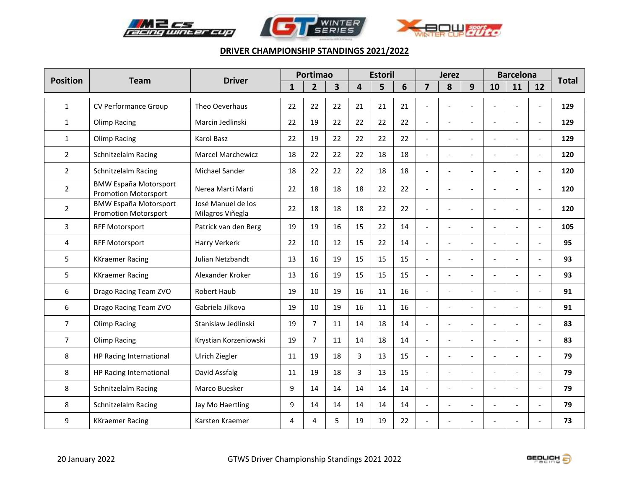





| <b>Position</b> |                                                             | <b>Driver</b>                          |              | Portimao       |    |    | <b>Estoril</b> |    |                | <b>Jerez</b>             |                          |                | <b>Barcelona</b>         |                          | <b>Total</b> |
|-----------------|-------------------------------------------------------------|----------------------------------------|--------------|----------------|----|----|----------------|----|----------------|--------------------------|--------------------------|----------------|--------------------------|--------------------------|--------------|
|                 | <b>Team</b>                                                 |                                        | $\mathbf{1}$ | $\overline{2}$ | 3  | 4  | 5              | 6  | $\overline{7}$ | 8                        | 9                        | 10             | 11                       | 12                       |              |
| $\mathbf{1}$    | CV Performance Group                                        | Theo Oeverhaus                         | 22           | 22             | 22 | 21 | 21             | 21 |                | $\overline{a}$           | $\overline{a}$           | $\overline{a}$ |                          |                          | 129          |
| $\mathbf{1}$    | Olimp Racing                                                | Marcin Jedlinski                       | 22           | 19             | 22 | 22 | 22             | 22 | $\overline{a}$ | $\overline{a}$           | $\overline{a}$           | $\overline{a}$ | $\overline{a}$           | $\sim$                   | 129          |
| $\mathbf{1}$    | <b>Olimp Racing</b>                                         | Karol Basz                             | 22           | 19             | 22 | 22 | 22             | 22 | $\overline{a}$ | $\overline{a}$           |                          | $\overline{a}$ |                          | $\overline{a}$           | 129          |
| $\overline{2}$  | Schnitzelalm Racing                                         | <b>Marcel Marchewicz</b>               | 18           | 22             | 22 | 22 | 18             | 18 | $\overline{a}$ | $\blacksquare$           | $\overline{\phantom{a}}$ | $\overline{a}$ |                          | $\overline{\phantom{a}}$ | 120          |
| $\overline{2}$  | <b>Schnitzelalm Racing</b>                                  | Michael Sander                         | 18           | 22             | 22 | 22 | 18             | 18 | $\blacksquare$ | $\overline{\phantom{a}}$ | $\blacksquare$           | $\overline{a}$ |                          | $\blacksquare$           | 120          |
| $\overline{2}$  | <b>BMW España Motorsport</b><br><b>Promotion Motorsport</b> | Nerea Marti Marti                      | 22           | 18             | 18 | 18 | 22             | 22 | $\overline{a}$ | $\blacksquare$           |                          | $\overline{a}$ |                          | $\overline{a}$           | 120          |
| $\overline{2}$  | <b>BMW España Motorsport</b><br><b>Promotion Motorsport</b> | José Manuel de los<br>Milagros Viñegla | 22           | 18             | 18 | 18 | 22             | 22 |                | $\overline{a}$           | $\overline{a}$           | $\overline{a}$ |                          | $\overline{a}$           | 120          |
| 3               | <b>RFF Motorsport</b>                                       | Patrick van den Berg                   | 19           | 19             | 16 | 15 | 22             | 14 |                | $\overline{\phantom{a}}$ | $\overline{a}$           | $\overline{a}$ |                          |                          | 105          |
| $\overline{4}$  | <b>RFF Motorsport</b>                                       | Harry Verkerk                          | 22           | 10             | 12 | 15 | 22             | 14 | $\overline{a}$ | $\blacksquare$           | $\mathbf{r}$             | $\overline{a}$ | $\overline{\phantom{a}}$ |                          | 95           |
| 5               | <b>KKraemer Racing</b>                                      | Julian Netzbandt                       | 13           | 16             | 19 | 15 | 15             | 15 | $\overline{a}$ | $\overline{\phantom{a}}$ |                          | $\overline{a}$ |                          |                          | 93           |
| 5               | <b>KKraemer Racing</b>                                      | Alexander Kroker                       | 13           | 16             | 19 | 15 | 15             | 15 |                | $\overline{a}$           | $\overline{a}$           | $\overline{a}$ |                          |                          | 93           |
| 6               | Drago Racing Team ZVO                                       | <b>Robert Haub</b>                     | 19           | 10             | 19 | 16 | 11             | 16 | $\overline{a}$ | $\overline{a}$           | $\overline{a}$           | $\overline{a}$ |                          |                          | 91           |
| 6               | Drago Racing Team ZVO                                       | Gabriela Jilkova                       | 19           | 10             | 19 | 16 | 11             | 16 |                | $\overline{\phantom{a}}$ |                          | $\overline{a}$ |                          |                          | 91           |
| $\overline{7}$  | Olimp Racing                                                | Stanislaw Jedlinski                    | 19           | $\overline{7}$ | 11 | 14 | 18             | 14 | $\overline{a}$ | $\overline{a}$           | $\overline{a}$           | $\overline{a}$ |                          | $\overline{a}$           | 83           |
| $\overline{7}$  | Olimp Racing                                                | Krystian Korzeniowski                  | 19           | $\overline{7}$ | 11 | 14 | 18             | 14 | $\overline{a}$ | $\overline{a}$           | $\mathbf{r}$             | $\overline{a}$ |                          | $\overline{a}$           | 83           |
| 8               | HP Racing International                                     | Ulrich Ziegler                         | 11           | 19             | 18 | 3  | 13             | 15 | $\overline{a}$ | $\overline{\phantom{a}}$ |                          | $\overline{a}$ |                          |                          | 79           |
| 8               | HP Racing International                                     | David Assfalg                          | 11           | 19             | 18 | 3  | 13             | 15 |                | $\overline{a}$           |                          | $\overline{a}$ |                          |                          | 79           |
| 8               | Schnitzelalm Racing                                         | Marco Buesker                          | 9            | 14             | 14 | 14 | 14             | 14 | $\overline{a}$ | $\overline{a}$           | $\mathbf{r}$             | $\overline{a}$ | $\overline{\phantom{a}}$ | $\overline{a}$           | 79           |
| 8               | Schnitzelalm Racing                                         | Jay Mo Haertling                       | 9            | 14             | 14 | 14 | 14             | 14 |                | $\overline{a}$           |                          | $\overline{a}$ |                          | $\overline{a}$           | 79           |
| 9               | <b>KKraemer Racing</b>                                      | Karsten Kraemer                        | 4            | 4              | 5  | 19 | 19             | 22 |                | $\overline{\phantom{a}}$ |                          |                |                          |                          | 73           |

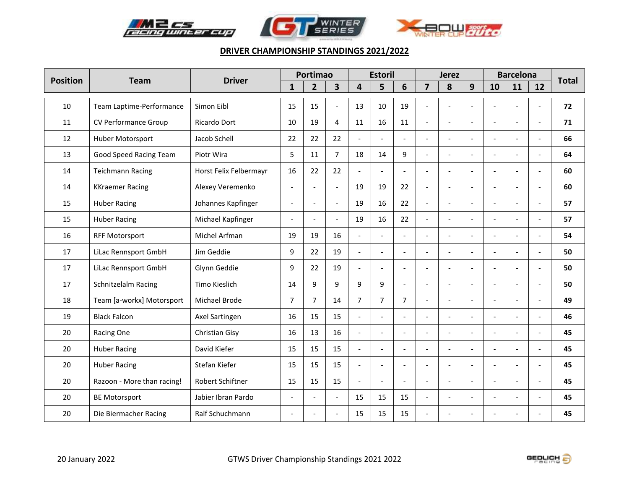





| <b>Position</b> | <b>Team</b>                | <b>Driver</b>          |                          | Portimao       |                          |                | <b>Estoril</b>           |                          |                | <b>Jerez</b>             |                          |                       | <b>Barcelona</b>         |                          | <b>Total</b> |
|-----------------|----------------------------|------------------------|--------------------------|----------------|--------------------------|----------------|--------------------------|--------------------------|----------------|--------------------------|--------------------------|-----------------------|--------------------------|--------------------------|--------------|
|                 |                            |                        | $\mathbf{1}$             | $\overline{2}$ | $\overline{\mathbf{3}}$  | 4              | 5                        | 6                        | $\overline{7}$ | 8                        | 9                        | 10                    | 11                       | 12                       |              |
| 10              | Team Laptime-Performance   | Simon Eibl             | 15                       | 15             | $\overline{\phantom{a}}$ | 13             | 10                       | 19                       | $\overline{a}$ | $\overline{a}$           | $\overline{a}$           | $\blacksquare$        | $\overline{a}$           | $\overline{a}$           | 72           |
| 11              | CV Performance Group       | Ricardo Dort           | 10                       | 19             | 4                        | 11             | 16                       | 11                       | $\overline{a}$ | $\sim$                   | $\overline{a}$           | $\overline{a}$        |                          | $\overline{a}$           | 71           |
| 12              | Huber Motorsport           | Jacob Schell           | 22                       | 22             | 22                       |                |                          |                          |                | $\overline{\phantom{a}}$ |                          | $\overline{a}$        |                          | $\overline{\phantom{a}}$ | 66           |
| 13              | Good Speed Racing Team     | Piotr Wira             | 5                        | 11             | $\overline{7}$           | 18             | 14                       | 9                        | $\overline{a}$ | $\blacksquare$           | $\overline{\phantom{a}}$ | $\blacksquare$        | $\blacksquare$           | $\overline{\phantom{a}}$ | 64           |
| 14              | <b>Teichmann Racing</b>    | Horst Felix Felbermayr | 16                       | 22             | 22                       |                |                          |                          |                | $\sim$                   | $\overline{a}$           | $\overline{a}$        |                          |                          | 60           |
| 14              | <b>KKraemer Racing</b>     | Alexey Veremenko       | $\blacksquare$           | $\overline{a}$ | $\overline{a}$           | 19             | 19                       | 22                       | $\overline{a}$ | $\overline{a}$           | $\overline{a}$           | $\blacksquare$        | $\overline{\phantom{a}}$ | $\overline{a}$           | 60           |
| 15              | <b>Huber Racing</b>        | Johannes Kapfinger     | $\blacksquare$           | $\overline{a}$ | $\overline{a}$           | 19             | 16                       | 22                       | $\overline{a}$ | $\overline{a}$           | $\overline{a}$           | $\overline{a}$        |                          | $\overline{a}$           | 57           |
| 15              | <b>Huber Racing</b>        | Michael Kapfinger      | $\blacksquare$           | $\overline{a}$ | $\overline{a}$           | 19             | 16                       | 22                       | $\overline{a}$ | $\overline{a}$           |                          | $\overline{a}$        |                          | $\overline{a}$           | 57           |
| 16              | <b>RFF Motorsport</b>      | Michel Arfman          | 19                       | 19             | 16                       | $\blacksquare$ | $\overline{\phantom{a}}$ | $\overline{\phantom{a}}$ |                | $\blacksquare$           | $\overline{a}$           | $\blacksquare$        |                          | $\overline{a}$           | 54           |
| 17              | LiLac Rennsport GmbH       | Jim Geddie             | 9                        | 22             | 19                       | $\overline{a}$ |                          |                          |                |                          |                          | $\overline{a}$        |                          |                          | 50           |
| 17              | LiLac Rennsport GmbH       | Glynn Geddie           | 9                        | 22             | 19                       | $\overline{a}$ | $\blacksquare$           | $\overline{a}$           | $\overline{a}$ | $\overline{a}$           | $\overline{a}$           | $\blacksquare$        |                          | $\overline{a}$           | 50           |
| 17              | Schnitzelalm Racing        | Timo Kieslich          | 14                       | 9              | 9                        | 9              | 9                        | $\sim$                   |                | $\overline{\phantom{a}}$ | $\overline{a}$           | $\overline{a}$        |                          | $\overline{\phantom{a}}$ | 50           |
| 18              | Team [a-workx] Motorsport  | Michael Brode          | $\overline{7}$           | $\overline{7}$ | 14                       | $\overline{7}$ | $\overline{7}$           | $\overline{7}$           |                | $\overline{\phantom{a}}$ |                          | $\overline{a}$        |                          | $\overline{\phantom{a}}$ | 49           |
| 19              | <b>Black Falcon</b>        | Axel Sartingen         | 16                       | 15             | 15                       | $\sim$         | $\overline{a}$           | $\overline{a}$           | $\overline{a}$ | $\overline{a}$           | $\overline{a}$           | $\overline{a}$        | $\sim$                   | $\overline{a}$           | 46           |
| 20              | Racing One                 | Christian Gisy         | 16                       | 13             | 16                       | $\overline{a}$ |                          |                          |                | $\sim$                   | ÷.                       | $\sim$                |                          |                          | 45           |
| 20              | <b>Huber Racing</b>        | David Kiefer           | 15                       | 15             | 15                       | $\overline{a}$ | $\blacksquare$           | $\blacksquare$           | $\overline{a}$ | $\blacksquare$           | $\overline{a}$           | $\blacksquare$        | $\overline{\phantom{a}}$ | $\overline{\phantom{a}}$ | 45           |
| 20              | <b>Huber Racing</b>        | Stefan Kiefer          | 15                       | 15             | 15                       | $\overline{a}$ | $\overline{a}$           | $\sim$                   | $\overline{a}$ | $\sim$                   | $\overline{a}$           | $\overline{a}$        |                          | $\overline{a}$           | 45           |
| 20              | Razoon - More than racing! | Robert Schiftner       | 15                       | 15             | 15                       | $\overline{a}$ | $\overline{a}$           | $\sim$                   | $\overline{a}$ | $\overline{\phantom{a}}$ | $\overline{a}$           | $\overline{a}$        |                          | $\overline{a}$           | 45           |
| 20              | <b>BE Motorsport</b>       | Jabier Ibran Pardo     | $\overline{\phantom{a}}$ | $\overline{a}$ | $\blacksquare$           | 15             | 15                       | 15                       | $\overline{a}$ | $\overline{\phantom{a}}$ | $\overline{\phantom{a}}$ | $\tilde{\phantom{a}}$ |                          | ÷,                       | 45           |
| 20              | Die Biermacher Racing      | Ralf Schuchmann        | $\overline{\phantom{a}}$ |                |                          | 15             | 15                       | 15                       |                |                          |                          |                       |                          |                          | 45           |

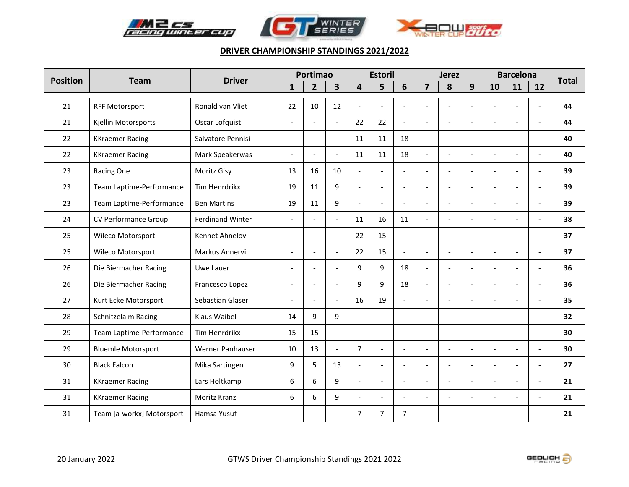





| <b>Position</b> | <b>Team</b>               | <b>Driver</b>           |                          | Portimao       |                          |                          | <b>Estoril</b>           |                          |                          | <b>Jerez</b>             |                          |                          | <b>Barcelona</b>         |                          | <b>Total</b> |
|-----------------|---------------------------|-------------------------|--------------------------|----------------|--------------------------|--------------------------|--------------------------|--------------------------|--------------------------|--------------------------|--------------------------|--------------------------|--------------------------|--------------------------|--------------|
|                 |                           |                         | $\mathbf{1}$             | $\overline{2}$ | $\overline{\mathbf{3}}$  | 4                        | 5                        | 6                        | $\overline{\mathbf{z}}$  | 8                        | 9                        | 10                       | 11                       | 12                       |              |
| 21              | <b>RFF Motorsport</b>     | Ronald van Vliet        | 22                       | 10             | 12                       | $\overline{\phantom{a}}$ | $\overline{\phantom{a}}$ | $\overline{\phantom{a}}$ | $\overline{\phantom{a}}$ | $\overline{\phantom{0}}$ | $\overline{a}$           | $\overline{a}$           | $\overline{a}$           | $\sim$                   | 44           |
| 21              | Kjellin Motorsports       | Oscar Lofquist          | $\blacksquare$           |                | $\overline{a}$           | 22                       | 22                       |                          |                          | $\overline{\phantom{0}}$ |                          | $\overline{a}$           |                          | $\overline{\phantom{a}}$ | 44           |
| 22              | <b>KKraemer Racing</b>    | Salvatore Pennisi       | $\blacksquare$           |                | L.                       | 11                       | 11                       | 18                       |                          | $\overline{a}$           |                          |                          |                          |                          | 40           |
| 22              | <b>KKraemer Racing</b>    | Mark Speakerwas         | $\blacksquare$           | $\overline{a}$ | $\overline{a}$           | 11                       | 11                       | 18                       | $\overline{a}$           | $\overline{a}$           |                          | $\tilde{\phantom{a}}$    | $\overline{\phantom{a}}$ | $\blacksquare$           | 40           |
| 23              | Racing One                | Moritz Gisy             | 13                       | 16             | 10                       |                          |                          |                          |                          | L.                       |                          | $\sim$                   |                          | $\sim$                   | 39           |
| 23              | Team Laptime-Performance  | Tim Henrdrikx           | 19                       | 11             | 9                        | $\overline{a}$           | $\overline{a}$           | $\overline{a}$           | $\overline{a}$           | $\blacksquare$           | $\overline{a}$           | $\overline{a}$           | $\overline{a}$           | $\sim$                   | 39           |
| 23              | Team Laptime-Performance  | <b>Ben Martins</b>      | 19                       | 11             | 9                        | $\sim$                   |                          |                          | $\sim$                   | $\overline{a}$           |                          | $\sim$                   |                          | $\sim$                   | 39           |
| 24              | CV Performance Group      | <b>Ferdinand Winter</b> | $\overline{\phantom{a}}$ |                | $\overline{\phantom{a}}$ | 11                       | 16                       | 11                       | $\overline{a}$           | $\overline{a}$           |                          | $\overline{a}$           | $\overline{\phantom{a}}$ | $\overline{\phantom{a}}$ | 38           |
| 25              | Wileco Motorsport         | Kennet Ahnelov          | $\blacksquare$           |                | $\overline{a}$           | 22                       | 15                       |                          |                          | $\frac{1}{2}$            |                          | $\overline{\phantom{a}}$ |                          | $\tilde{\phantom{a}}$    | 37           |
| 25              | Wileco Motorsport         | Markus Annervi          | $\overline{\phantom{a}}$ |                | L.                       | 22                       | 15                       |                          |                          | L.                       |                          | ۰                        |                          |                          | 37           |
| 26              | Die Biermacher Racing     | Uwe Lauer               | $\overline{\phantom{a}}$ | $\overline{a}$ | L,                       | 9                        | 9                        | 18                       | $\overline{a}$           | $\overline{a}$           |                          | $\overline{a}$           | $\overline{a}$           | $\overline{a}$           | 36           |
| 26              | Die Biermacher Racing     | Francesco Lopez         | $\overline{\phantom{a}}$ |                | $\overline{a}$           | 9                        | 9                        | 18                       | $\overline{a}$           | $\overline{\phantom{0}}$ | $\overline{\phantom{a}}$ | $\blacksquare$           |                          | $\overline{\phantom{a}}$ | 36           |
| 27              | Kurt Ecke Motorsport      | Sebastian Glaser        | $\overline{\phantom{a}}$ |                | $\overline{a}$           | 16                       | 19                       |                          |                          | $\overline{a}$           |                          |                          |                          | $\blacksquare$           | 35           |
| 28              | Schnitzelalm Racing       | Klaus Waibel            | 14                       | 9              | 9                        | $\overline{a}$           | $\overline{\phantom{a}}$ |                          |                          | $\overline{a}$           |                          | $\overline{a}$           | $\overline{\phantom{a}}$ | $\overline{a}$           | 32           |
| 29              | Team Laptime-Performance  | Tim Henrdrikx           | 15                       | 15             | $\overline{a}$           |                          |                          |                          |                          | $\overline{\phantom{a}}$ |                          | $\sim$                   |                          |                          | 30           |
| 29              | <b>Bluemle Motorsport</b> | Werner Panhauser        | 10                       | 13             | $\overline{a}$           | $\overline{7}$           |                          | $\overline{a}$           | $\overline{a}$           | $\overline{a}$           |                          | $\overline{a}$           | $\overline{\phantom{a}}$ | $\overline{a}$           | 30           |
| 30              | <b>Black Falcon</b>       | Mika Sartingen          | 9                        | 5              | 13                       | $\overline{a}$           |                          |                          |                          | $\overline{\phantom{0}}$ |                          | $\overline{a}$           |                          | $\overline{a}$           | 27           |
| 31              | <b>KKraemer Racing</b>    | Lars Holtkamp           | 6                        | 6              | 9                        | $\overline{\phantom{a}}$ | $\overline{a}$           | $\blacksquare$           | $\overline{\phantom{a}}$ | $\blacksquare$           | $\overline{\phantom{a}}$ | $\tilde{\phantom{a}}$    | $\overline{\phantom{a}}$ | $\blacksquare$           | 21           |
| 31              | <b>KKraemer Racing</b>    | Moritz Kranz            | 6                        | 6              | 9                        |                          | $\overline{a}$           |                          |                          | $\overline{a}$           | $\sim$                   | $\sim$                   | $\overline{a}$           | $\overline{\phantom{a}}$ | 21           |
| 31              | Team [a-workx] Motorsport | Hamsa Yusuf             |                          |                |                          | 7                        | 7                        | 7                        |                          |                          |                          |                          |                          |                          | 21           |